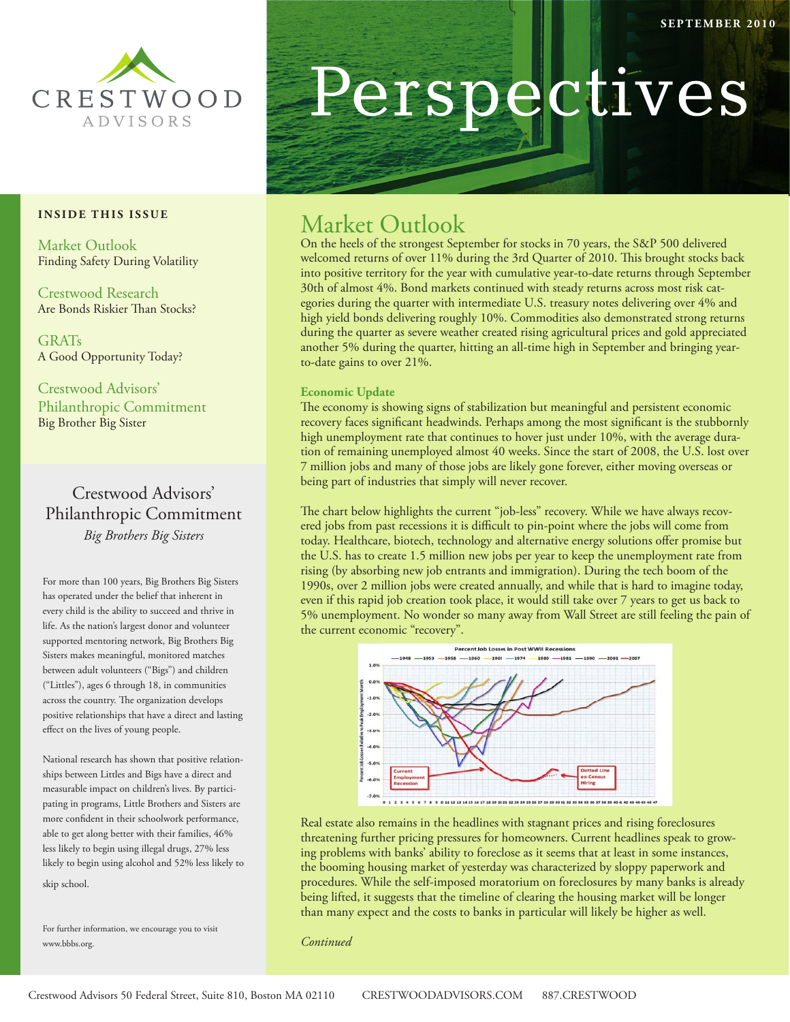

#### **INSIDE THIS ISSUE**

Market Outlook Finding Safety During Volatility

Crestwood Research Are Bonds Riskier Than Stocks?

GRATs A Good Opportunity Today?

Crestwood Advisors' Philanthropic Commitment Big Brother Big Sister

## Crestwood Advisors' Philanthropic Commitment *Big Brothers Big Sisters*

For more than 100 years, Big Brothers Big Sisters has operated under the belief that inherent in every child is the ability to succeed and thrive in life. As the nation's largest donor and volunteer supported mentoring network, Big Brothers Big Sisters makes meaningful, monitored matches between adult volunteers ("Bigs") and children ("Littles"), ages 6 through 18, in communities across the country. The organization develops positive relationships that have a direct and lasting effect on the lives of young people.

National research has shown that positive relationships between Littles and Bigs have a direct and measurable impact on children's lives. By participating in programs, Little Brothers and Sisters are more confident in their schoolwork performance, able to get along better with their families, 46% less likely to begin using illegal drugs, 27% less likely to begin using alcohol and 52% less likely to skip school.

For further information, we encourage you to visit www.bbbs.org.

# Perspectives

# Market Outlook

On the heels of the strongest September for stocks in 70 years, the S&P 500 delivered welcomed returns of over 11% during the 3rd Quarter of 2010. This brought stocks back into positive territory for the year with cumulative year-to-date returns through September 30th of almost 4%. Bond markets continued with steady returns across most risk categories during the quarter with intermediate U.S. treasury notes delivering over 4% and high yield bonds delivering roughly 10%. Commodities also demonstrated strong returns during the quarter as severe weather created rising agricultural prices and gold appreciated another 5% during the quarter, hitting an all-time high in September and bringing yearto-date gains to over 21%.

#### **Economic Update**

The economy is showing signs of stabilization but meaningful and persistent economic recovery faces significant headwinds. Perhaps among the most significant is the stubbornly high unemployment rate that continues to hover just under 10%, with the average duration of remaining unemployed almost 40 weeks. Since the start of 2008, the U.S. lost over 7 million jobs and many of those jobs are likely gone forever, either moving overseas or being part of industries that simply will never recover.

The chart below highlights the current "job-less" recovery. While we have always recovered jobs from past recessions it is difficult to pin-point where the jobs will come from today. Healthcare, biotech, technology and alternative energy solutions offer promise but the U.S. has to create 1.5 million new jobs per year to keep the unemployment rate from rising (by absorbing new job entrants and immigration). During the tech boom of the 1990s, over 2 million jobs were created annually, and while that is hard to imagine today, even if this rapid job creation took place, it would still take over 7 years to get us back to 5% unemployment. No wonder so many away from Wall Street are still feeling the pain of the current economic "recovery".



Real estate also remains in the headlines with stagnant prices and rising foreclosures threatening further pricing pressures for homeowners. Current headlines speak to growing problems with banks' ability to foreclose as it seems that at least in some instances, the booming housing market of yesterday was characterized by sloppy paperwork and procedures. While the self-imposed moratorium on foreclosures by many banks is already being lifted, it suggests that the timeline of clearing the housing market will be longer than many expect and the costs to banks in particular will likely be higher as well.

*Continued*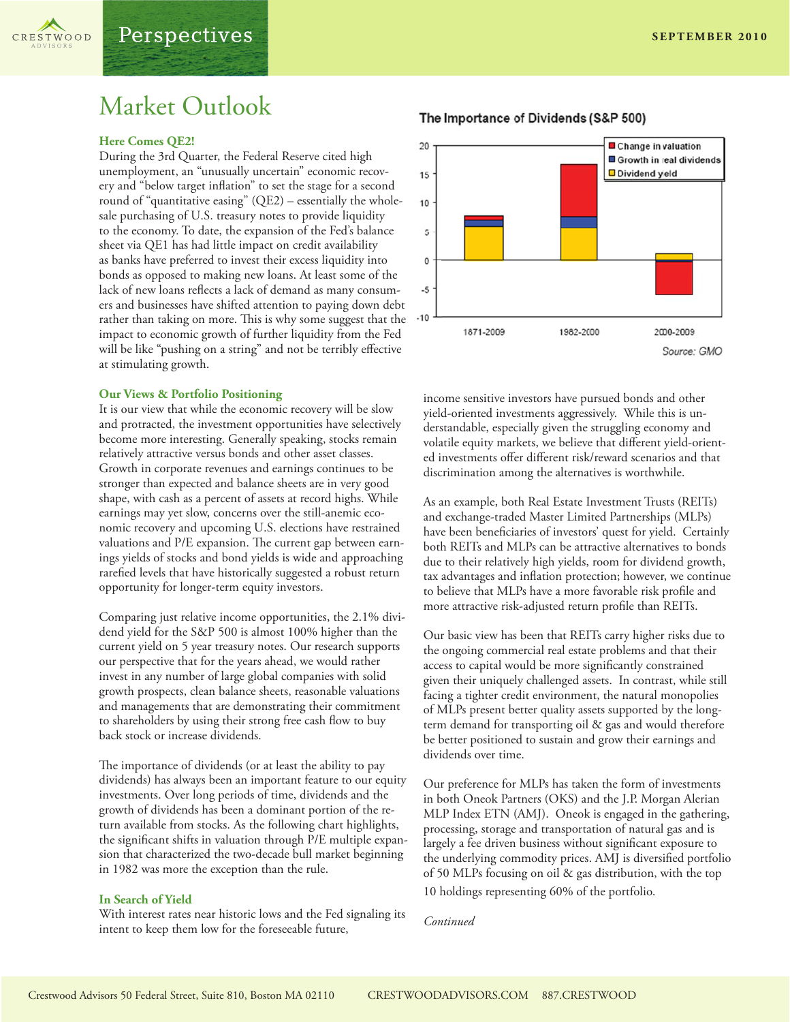

# Market Outlook

#### **Here Comes QE2!**

During the 3rd Quarter, the Federal Reserve cited high unemployment, an "unusually uncertain" economic recovery and "below target inflation" to set the stage for a second round of "quantitative easing" (QE2) – essentially the wholesale purchasing of U.S. treasury notes to provide liquidity to the economy. To date, the expansion of the Fed's balance sheet via QE1 has had little impact on credit availability as banks have preferred to invest their excess liquidity into bonds as opposed to making new loans. At least some of the lack of new loans reflects a lack of demand as many consumers and businesses have shifted attention to paying down debt rather than taking on more. This is why some suggest that the impact to economic growth of further liquidity from the Fed will be like "pushing on a string" and not be terribly effective at stimulating growth.

#### **Our Views & Portfolio Positioning**

It is our view that while the economic recovery will be slow and protracted, the investment opportunities have selectively become more interesting. Generally speaking, stocks remain relatively attractive versus bonds and other asset classes. Growth in corporate revenues and earnings continues to be stronger than expected and balance sheets are in very good shape, with cash as a percent of assets at record highs. While earnings may yet slow, concerns over the still-anemic economic recovery and upcoming U.S. elections have restrained valuations and P/E expansion. The current gap between earnings yields of stocks and bond yields is wide and approaching rarefied levels that have historically suggested a robust return opportunity for longer-term equity investors.

Comparing just relative income opportunities, the 2.1% dividend yield for the S&P 500 is almost 100% higher than the current yield on 5 year treasury notes. Our research supports our perspective that for the years ahead, we would rather invest in any number of large global companies with solid growth prospects, clean balance sheets, reasonable valuations and managements that are demonstrating their commitment to shareholders by using their strong free cash flow to buy back stock or increase dividends.

The importance of dividends (or at least the ability to pay dividends) has always been an important feature to our equity investments. Over long periods of time, dividends and the growth of dividends has been a dominant portion of the return available from stocks. As the following chart highlights, the significant shifts in valuation through P/E multiple expansion that characterized the two-decade bull market beginning in 1982 was more the exception than the rule.

#### **In Search of Yield**

With interest rates near historic lows and the Fed signaling its intent to keep them low for the foreseeable future,

20 Change in valuation Growth in real dividends Dividend yield 15 10  $\overline{5}$  $\mathbf{0}$  $-5$ 

The Importance of Dividends (S&P 500)





income sensitive investors have pursued bonds and other yield-oriented investments aggressively. While this is understandable, especially given the struggling economy and volatile equity markets, we believe that different yield-oriented investments offer different risk/reward scenarios and that discrimination among the alternatives is worthwhile.

1982-2000

As an example, both Real Estate Investment Trusts (REITs) and exchange-traded Master Limited Partnerships (MLPs) have been beneficiaries of investors' quest for yield. Certainly both REITs and MLPs can be attractive alternatives to bonds due to their relatively high yields, room for dividend growth, tax advantages and inflation protection; however, we continue to believe that MLPs have a more favorable risk profile and more attractive risk-adjusted return profile than REITs.

Our basic view has been that REITs carry higher risks due to the ongoing commercial real estate problems and that their access to capital would be more significantly constrained given their uniquely challenged assets. In contrast, while still facing a tighter credit environment, the natural monopolies of MLPs present better quality assets supported by the longterm demand for transporting oil & gas and would therefore be better positioned to sustain and grow their earnings and dividends over time.

Our preference for MLPs has taken the form of investments in both Oneok Partners (OKS) and the J.P. Morgan Alerian MLP Index ETN (AMJ). Oneok is engaged in the gathering, processing, storage and transportation of natural gas and is largely a fee driven business without significant exposure to the underlying commodity prices. AMJ is diversified portfolio of 50 MLPs focusing on oil & gas distribution, with the top

10 holdings representing 60% of the portfolio.

*Continued*

 $-10$ 

1871-2009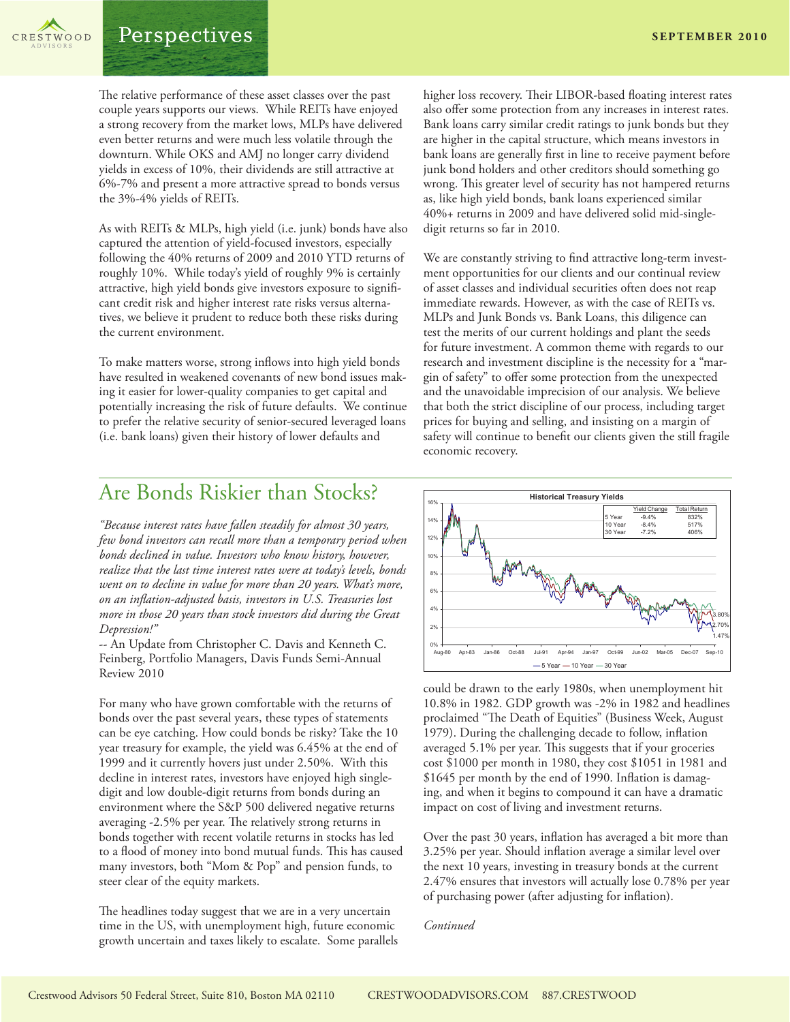Perspectives

The relative performance of these asset classes over the past couple years supports our views. While REITs have enjoyed a strong recovery from the market lows, MLPs have delivered even better returns and were much less volatile through the downturn. While OKS and AMJ no longer carry dividend yields in excess of 10%, their dividends are still attractive at 6%-7% and present a more attractive spread to bonds versus the 3%-4% yields of REITs.

As with REITs & MLPs, high yield (i.e. junk) bonds have also captured the attention of yield-focused investors, especially following the 40% returns of 2009 and 2010 YTD returns of roughly 10%. While today's yield of roughly 9% is certainly attractive, high yield bonds give investors exposure to significant credit risk and higher interest rate risks versus alternatives, we believe it prudent to reduce both these risks during the current environment.

To make matters worse, strong inflows into high yield bonds have resulted in weakened covenants of new bond issues making it easier for lower-quality companies to get capital and potentially increasing the risk of future defaults. We continue to prefer the relative security of senior-secured leveraged loans (i.e. bank loans) given their history of lower defaults and

higher loss recovery. Their LIBOR-based floating interest rates also offer some protection from any increases in interest rates. Bank loans carry similar credit ratings to junk bonds but they are higher in the capital structure, which means investors in bank loans are generally first in line to receive payment before junk bond holders and other creditors should something go wrong. This greater level of security has not hampered returns as, like high yield bonds, bank loans experienced similar 40%+ returns in 2009 and have delivered solid mid-singledigit returns so far in 2010.

We are constantly striving to find attractive long-term investment opportunities for our clients and our continual review of asset classes and individual securities often does not reap immediate rewards. However, as with the case of REITs vs. MLPs and Junk Bonds vs. Bank Loans, this diligence can test the merits of our current holdings and plant the seeds for future investment. A common theme with regards to our research and investment discipline is the necessity for a "margin of safety" to offer some protection from the unexpected and the unavoidable imprecision of our analysis. We believe that both the strict discipline of our process, including target prices for buying and selling, and insisting on a margin of safety will continue to benefit our clients given the still fragile economic recovery.

## Are Bonds Riskier than Stocks?

*"Because interest rates have fallen steadily for almost 30 years, few bond investors can recall more than a temporary period when bonds declined in value. Investors who know history, however, realize that the last time interest rates were at today's levels, bonds went on to decline in value for more than 20 years. What's more, on an inflation-adjusted basis, investors in U.S. Treasuries lost more in those 20 years than stock investors did during the Great Depression!"*

-- An Update from Christopher C. Davis and Kenneth C. Feinberg, Portfolio Managers, Davis Funds Semi-Annual Review 2010

For many who have grown comfortable with the returns of bonds over the past several years, these types of statements can be eye catching. How could bonds be risky? Take the 10 year treasury for example, the yield was 6.45% at the end of 1999 and it currently hovers just under 2.50%. With this decline in interest rates, investors have enjoyed high singledigit and low double-digit returns from bonds during an environment where the S&P 500 delivered negative returns averaging -2.5% per year. The relatively strong returns in bonds together with recent volatile returns in stocks has led to a flood of money into bond mutual funds. This has caused many investors, both "Mom & Pop" and pension funds, to steer clear of the equity markets.

The headlines today suggest that we are in a very uncertain time in the US, with unemployment high, future economic growth uncertain and taxes likely to escalate. Some parallels



could be drawn to the early 1980s, when unemployment hit 10.8% in 1982. GDP growth was -2% in 1982 and headlines proclaimed "The Death of Equities" (Business Week, August 1979). During the challenging decade to follow, inflation averaged 5.1% per year. This suggests that if your groceries cost \$1000 per month in 1980, they cost \$1051 in 1981 and \$1645 per month by the end of 1990. Inflation is damaging, and when it begins to compound it can have a dramatic impact on cost of living and investment returns.

Over the past 30 years, inflation has averaged a bit more than 3.25% per year. Should inflation average a similar level over the next 10 years, investing in treasury bonds at the current 2.47% ensures that investors will actually lose 0.78% per year of purchasing power (after adjusting for inflation).

*Continued*